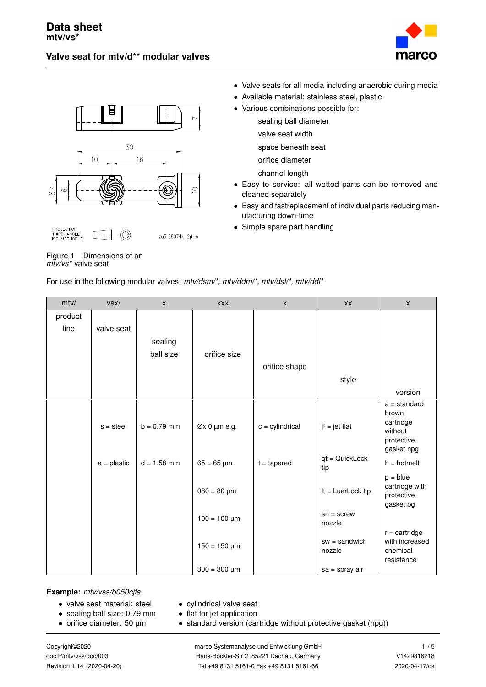## **Valve seat for mtv/d\*\* modular valves**







Figure 1 – Dimensions of an *mtv/vs\** valve seat

- Valve seats for all media including anaerobic curing media
- Available material: stainless steel, plastic
- Various combinations possible for:
	- sealing ball diameter
	- valve seat width
	- space beneath seat
	- orifice diameter
	- channel length
- Easy to service: all wetted parts can be removed and cleaned separately
- Easy and fastreplacement of individual parts reducing manufacturing down-time
- Simple spare part handling

| mtv/    | vsx/          | $\mathsf{X}$  | <b>XXX</b>        | $\mathsf{X}$      | <b>XX</b>                 | $\mathsf{x}$                             |
|---------|---------------|---------------|-------------------|-------------------|---------------------------|------------------------------------------|
| product |               |               |                   |                   |                           |                                          |
| line    | valve seat    |               |                   |                   |                           |                                          |
|         |               | sealing       |                   |                   |                           |                                          |
|         |               | ball size     | orifice size      |                   |                           |                                          |
|         |               |               |                   | orifice shape     |                           |                                          |
|         |               |               |                   |                   | style                     |                                          |
|         |               |               |                   |                   |                           | version                                  |
|         |               |               |                   |                   |                           | $a = standard$                           |
|         |               |               |                   |                   |                           | brown<br>cartridge                       |
|         | $s = steel$   | $b = 0.79$ mm | $Øx 0 \mu m e.g.$ | $c =$ cylindrical | $jf = jet flat$           | without                                  |
|         |               |               |                   |                   |                           | protective                               |
|         | $a =$ plastic | $d = 1.58$ mm | $65 = 65 \,\mu m$ | $t = tapered$     | qt = QuickLock<br>tip     | gasket npg<br>$h = h$ otmelt             |
|         |               |               |                   |                   |                           | $p = blue$                               |
|         |               |               | $080 = 80 \mu m$  |                   | $It = LuerLock tip$       | cartridge with<br>protective             |
|         |               |               |                   |                   |                           | gasket pg                                |
|         |               |               | $100 = 100 \mu m$ |                   | $sn = screw$<br>nozzle    |                                          |
|         |               |               |                   |                   |                           | $r = cartridge$                          |
|         |               |               | $150 = 150 \mu m$ |                   | $sw = sandwich$<br>nozzle | with increased<br>chemical<br>resistance |
|         |               |               | $300 = 300 \mu m$ |                   | $sa = spray air$          |                                          |

For use in the following modular valves: *mtv/dsm/\*, mtv/ddm/\*, mtv/dsl/\*, mtv/ddl\**

za3: 28074k\_2#1.6

**Example:** *mtv/vss/b050cjfa*

- valve seat material: steel
- sealing ball size: 0.79 mm
- orifice diameter: 50 µm

• flat for jet application • standard version (cartridge without protective gasket (npg))

• cylindrical valve seat

Copyright©2020 marco Systemanalyse und Entwicklung GmbH 1 / [5](#page-4-0) doc:P/mtv/vss/doc/003 Hans-Böckler-Str 2, 85221 Dachau, Germany V1429816218 Revision 1.14 (2020-04-20) Tel +49 8131 5161-0 Fax +49 8131 5161-66 2020-04-17/ok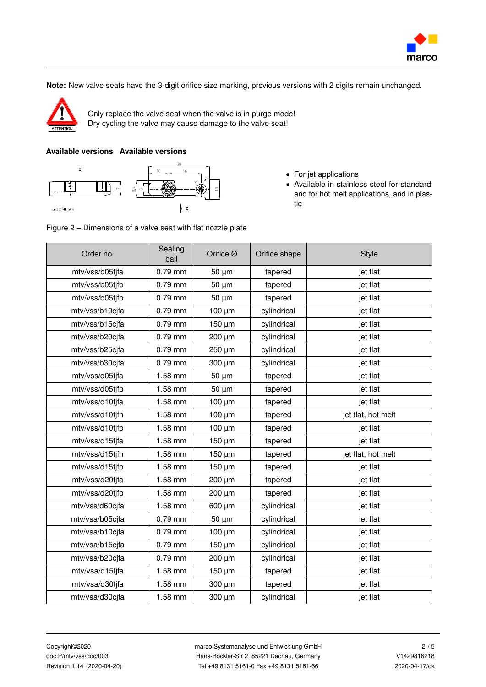

**Note:** New valve seats have the 3-digit orifice size marking, previous versions with 2 digits remain unchanged.



Only replace the valve seat when the valve is in purge mode! Dry cycling the valve may cause damage to the valve seat!

## **Available versions Available versions**



- For jet applications
- Available in stainless steel for standard and for hot melt applications, and in plastic



| Order no.       | Sealing<br>ball | Orifice Ø   | Orifice shape | <b>Style</b>       |
|-----------------|-----------------|-------------|---------------|--------------------|
| mtv/vss/b05tjfa | 0.79 mm         | $50 \mu m$  | tapered       | jet flat           |
| mtv/vss/b05tjfb | 0.79 mm         | $50 \mu m$  | tapered       | jet flat           |
| mtv/vss/b05tjfp | $0.79$ mm       | 50 µm       | tapered       | jet flat           |
| mtv/vss/b10cjfa | $0.79$ mm       | $100 \mu m$ | cylindrical   | jet flat           |
| mtv/vss/b15cjfa | 0.79 mm         | $150 \mu m$ | cylindrical   | jet flat           |
| mtv/vss/b20cjfa | $0.79$ mm       | 200 µm      | cylindrical   | jet flat           |
| mtv/vss/b25cjfa | 0.79 mm         | 250 µm      | cylindrical   | jet flat           |
| mtv/vss/b30cjfa | 0.79 mm         | 300 µm      | cylindrical   | jet flat           |
| mtv/vss/d05tjfa | 1.58 mm         | $50 \mu m$  | tapered       | jet flat           |
| mtv/vss/d05tjfp | 1.58 mm         | $50 \mu m$  | tapered       | jet flat           |
| mtv/vss/d10tjfa | 1.58 mm         | $100 \mu m$ | tapered       | jet flat           |
| mtv/vss/d10tjfh | 1.58 mm         | 100 µm      | tapered       | jet flat, hot melt |
| mtv/vss/d10tjfp | 1.58 mm         | $100 \mu m$ | tapered       | jet flat           |
| mtv/vss/d15tjfa | 1.58 mm         | $150 \mu m$ | tapered       | jet flat           |
| mtv/vss/d15tjfh | 1.58 mm         | 150 µm      | tapered       | jet flat, hot melt |
| mtv/vss/d15tjfp | 1.58 mm         | 150 µm      | tapered       | jet flat           |
| mtv/vss/d20tjfa | 1.58 mm         | 200 µm      | tapered       | jet flat           |
| mtv/vss/d20tjfp | 1.58 mm         | 200 µm      | tapered       | jet flat           |
| mtv/vss/d60cjfa | 1.58 mm         | 600 µm      | cylindrical   | jet flat           |
| mtv/vsa/b05cjfa | $0.79$ mm       | 50 µm       | cylindrical   | jet flat           |
| mtv/vsa/b10cjfa | $0.79$ mm       | $100 \mu m$ | cylindrical   | jet flat           |
| mtv/vsa/b15cjfa | 0.79 mm         | $150 \mu m$ | cylindrical   | jet flat           |
| mtv/vsa/b20cjfa | $0.79$ mm       | 200 µm      | cylindrical   | jet flat           |
| mtv/vsa/d15tjfa | 1.58 mm         | 150 µm      | tapered       | jet flat           |
| mtv/vsa/d30tjfa | 1.58 mm         | 300 µm      | tapered       | jet flat           |
| mtv/vsa/d30cjfa | 1.58 mm         | 300 µm      | cylindrical   | jet flat           |

Copyright©2020 marco Systemanalyse und Entwicklung GmbH 2 / [5](#page-4-0) doc:P/mtv/vss/doc/003 Hans-Böckler-Str 2, 85221 Dachau, Germany V1429816218 Revision 1.14 (2020-04-20) Tel +49 8131 5161-0 Fax +49 8131 5161-66 2020-04-17/ok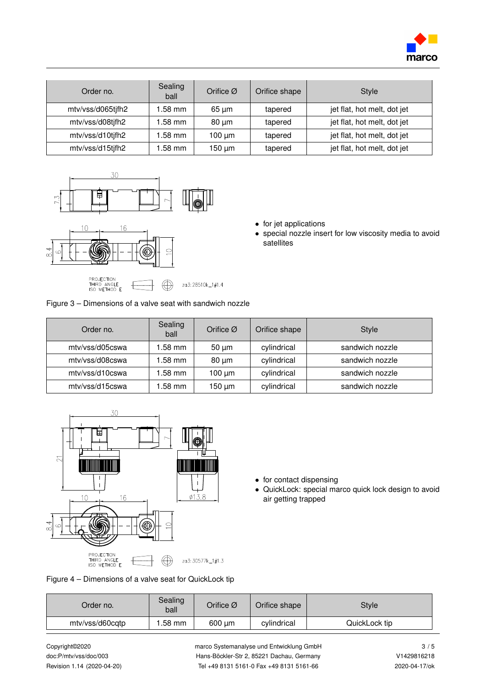

| Order no.         | Sealing<br>ball | Orifice $\varnothing$ | Orifice shape | <b>Style</b>                |
|-------------------|-----------------|-----------------------|---------------|-----------------------------|
| mtv/vss/d065tjfh2 | l.58 mm         | $65 \mu m$            | tapered       | jet flat, hot melt, dot jet |
| mtv/vss/d08tjfh2  | .58 mm          | $80 \mu m$            | tapered       | jet flat, hot melt, dot jet |
| mtv/vss/d10tjfh2  | l.58 mm         | $100 \mu m$           | tapered       | jet flat, hot melt, dot jet |
| mtv/vss/d15tjfh2  | .58 mm          | 150 µm                | tapered       | jet flat, hot melt, dot jet |





- for jet applications
- special nozzle insert for low viscosity media to avoid satellites

| Figure 3 – Dimensions of a valve seat with sandwich nozzle |  |  |  |
|------------------------------------------------------------|--|--|--|
|                                                            |  |  |  |

| Order no.       | Sealing<br>ball | Orifice $\varnothing$ | Orifice shape | <b>Style</b>    |
|-----------------|-----------------|-----------------------|---------------|-----------------|
| mtv/vss/d05cswa | .58 mm          | $50 \mu m$            | cylindrical   | sandwich nozzle |
| mtv/vss/d08cswa | 1.58 mm         | $80 \mu m$            | cylindrical   | sandwich nozzle |
| mtv/vss/d10cswa | .58 mm          | $100 \mu m$           | cylindrical   | sandwich nozzle |
| mtv/vss/d15cswa | .58 mm          | 150 um                | cylindrical   | sandwich nozzle |



- for contact dispensing
- QuickLock: special marco quick lock design to avoid air getting trapped

|  |  |  | Figure 4 – Dimensions of a valve seat for QuickLock tip |
|--|--|--|---------------------------------------------------------|
|--|--|--|---------------------------------------------------------|

| Order no.       | Sealing<br>ball | Orifice $\varnothing$ | Orifice shape | Style         |  |
|-----------------|-----------------|-----------------------|---------------|---------------|--|
| mtv/vss/d60cqtp | .58 mm          | $600 \mu m$           | cylindrical   | QuickLock tip |  |

Copyright©2020 marco Systemanalyse und Entwicklung GmbH 3 / [5](#page-4-0) doc:P/mtv/vss/doc/003 Hans-Böckler-Str 2, 85221 Dachau, Germany V1429816218 Revision 1.14 (2020-04-20) Tel +49 8131 5161-0 Fax +49 8131 5161-66 2020-04-17/ok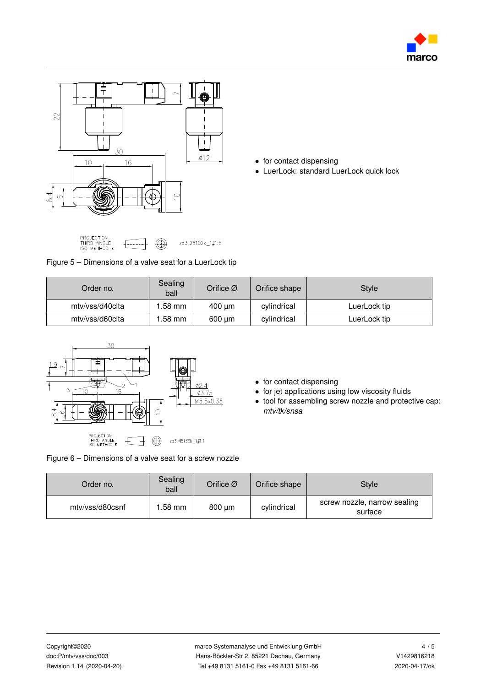



- for contact dispensing
- LuerLock: standard LuerLock quick lock

| PROJECTION<br>THIRD ANGLE<br>ISO METHOD F                | $\bigoplus$ | za3: 28102k_1#1.5 |
|----------------------------------------------------------|-------------|-------------------|
| Figure 5 – Dimensions of a valve seat for a LuerLock tip |             |                   |

| Order no.       | Sealing<br>ball | Orifice $\varnothing$ | Orifice shape | <b>Style</b> |
|-----------------|-----------------|-----------------------|---------------|--------------|
| mtv/vss/d40clta | 1.58 mm         | $400 \mu m$           | cylindrical   | LuerLock tip |
| mtv/vss/d60clta | .58 mm          | 600 um                | cylindrical   | LuerLock tip |



- for contact dispensing
- for jet applications using low viscosity fluids
- tool for assembling screw nozzle and protective cap: *mtv/tk/snsa*

Figure 6 – Dimensions of a valve seat for a screw nozzle

| Order no.       | Sealing<br>ball | Orifice $\varnothing$ | Orifice shape | <b>Style</b>                            |
|-----------------|-----------------|-----------------------|---------------|-----------------------------------------|
| mtv/vss/d80csnf | 1.58 mm         | $800 \mu m$           | cylindrical   | screw nozzle, narrow sealing<br>surface |